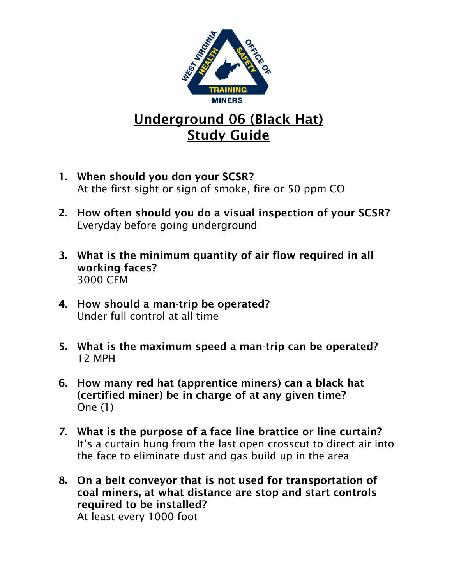

## Underground 06 (Black Hat) **Study Guide**

- 1. When should you don your SCSR? At the first sight or sign of smoke, fire or 50 ppm CO
- 2. How often should you do a visual inspection of your SCSR? Everyday before going underground
- 3. What is the minimum quantity of air flow required in all working faces? 3000 CFM
- 4. How should a man-trip be operated? Under full control at all time
- 5. What is the maximum speed a man-trip can be operated? 12 MPH
- 6. How many red hat (apprentice miners) can a black hat (certified miner) be in charge of at any given time? One (1)
- 7. What is the purpose of a face line brattice or line curtain? It's a curtain hung from the last open crosscut to direct air into the face to eliminate dust and gas build up in the area
- 8. On a belt conveyor that is not used for transportation of coal miners, at what distance are stop and start controls required to be installed? At least every 1000 foot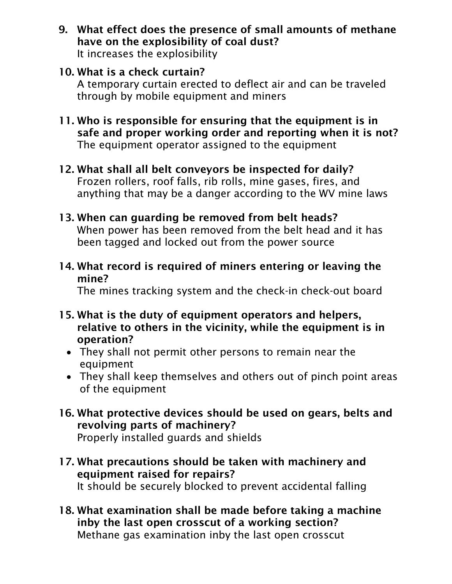- 9. What effect does the presence of small amounts of methane have on the explosibility of coal dust? It increases the explosibility
- 10. What is a check curtain?

A temporary curtain erected to deflect air and can be traveled through by mobile equipment and miners

- 11. Who is responsible for ensuring that the equipment is in safe and proper working order and reporting when it is not? The equipment operator assigned to the equipment
- 12. What shall all belt conveyors be inspected for daily? Frozen rollers, roof falls, rib rolls, mine gases, fires, and anything that may be a danger according to the WV mine laws
- 13. When can guarding be removed from belt heads? When power has been removed from the belt head and it has been tagged and locked out from the power source
- 14. What record is required of miners entering or leaving the mine?

The mines tracking system and the check-in check-out board

- 15. What is the duty of equipment operators and helpers, relative to others in the vicinity, while the equipment is in operation?
	- They shall not permit other persons to remain near the equipment
	- They shall keep themselves and others out of pinch point areas of the equipment
- 16. What protective devices should be used on gears, belts and revolving parts of machinery? Properly installed guards and shields
- 17. What precautions should be taken with machinery and equipment raised for repairs? It should be securely blocked to prevent accidental falling
- 18. What examination shall be made before taking a machine inby the last open crosscut of a working section? Methane gas examination inby the last open crosscut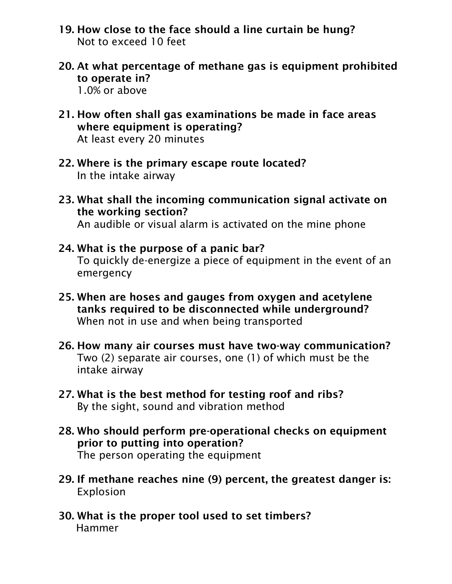- 19. How close to the face should a line curtain be hung? Not to exceed 10 feet
- 20. At what percentage of methane gas is equipment prohibited to operate in? 1.0% or above
- 21. How often shall gas examinations be made in face areas where equipment is operating? At least every 20 minutes
- 22. Where is the primary escape route located? In the intake airway
- 23. What shall the incoming communication signal activate on the working section?

An audible or visual alarm is activated on the mine phone

- 24. What is the purpose of a panic bar? To quickly de-energize a piece of equipment in the event of an emergency
- 25. When are hoses and gauges from oxygen and acetylene tanks required to be disconnected while underground? When not in use and when being transported
- 26. How many air courses must have two-way communication? Two (2) separate air courses, one (1) of which must be the intake airway
- 27. What is the best method for testing roof and ribs? By the sight, sound and vibration method
- 28. Who should perform pre-operational checks on equipment prior to putting into operation? The person operating the equipment
- 29. If methane reaches nine (9) percent, the greatest danger is: Explosion
- 30. What is the proper tool used to set timbers? Hammer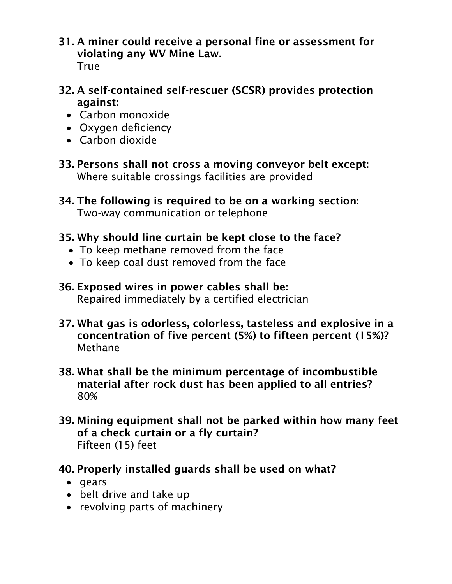- 31. A miner could receive a personal fine or assessment for violating any WV Mine Law. **True**
- 32. A self-contained self-rescuer (SCSR) provides protection against:
	- Carbon monoxide
	- Oxygen deficiency
	- Carbon dioxide
- 33. Persons shall not cross a moving conveyor belt except: Where suitable crossings facilities are provided
- 34. The following is required to be on a working section: Two-way communication or telephone
- 35. Why should line curtain be kept close to the face?
	- To keep methane removed from the face
	- To keep coal dust removed from the face
- 36. Exposed wires in power cables shall be: Repaired immediately by a certified electrician
- 37. What gas is odorless, colorless, tasteless and explosive in a concentration of five percent (5%) to fifteen percent (15%)? Methane
- 38. What shall be the minimum percentage of incombustible material after rock dust has been applied to all entries? 80%
- 39. Mining equipment shall not be parked within how many feet of a check curtain or a fly curtain? Fifteen (15) feet
- 40. Properly installed guards shall be used on what?
	- gears
	- belt drive and take up
	- revolving parts of machinery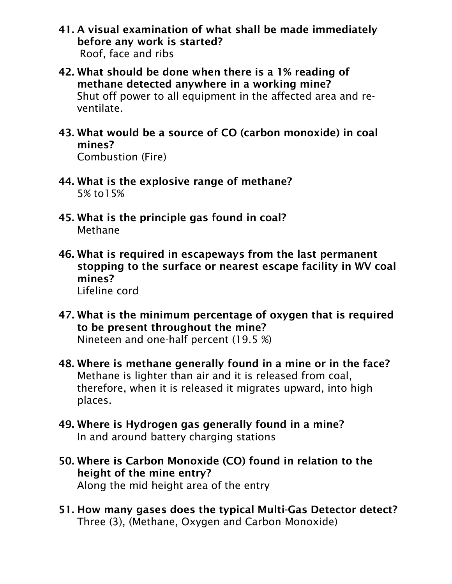- 41. A visual examination of what shall be made immediately before any work is started? Roof, face and ribs
- 42. What should be done when there is a 1% reading of methane detected anywhere in a working mine? Shut off power to all equipment in the affected area and reventilate.
- 43. What would be a source of CO (carbon monoxide) in coal mines? Combustion (Fire)
- 44. What is the explosive range of methane? 5% to15%
- 45. What is the principle gas found in coal? Methane
- 46. What is required in escapeways from the last permanent stopping to the surface or nearest escape facility in WV coal mines? Lifeline cord
- 47. What is the minimum percentage of oxygen that is required to be present throughout the mine? Nineteen and one-half percent (19.5 %)
- 48. Where is methane generally found in a mine or in the face? Methane is lighter than air and it is released from coal, therefore, when it is released it migrates upward, into high places.
- 49. Where is Hydrogen gas generally found in a mine? In and around battery charging stations
- 50. Where is Carbon Monoxide (CO) found in relation to the height of the mine entry? Along the mid height area of the entry
- 51. How many gases does the typical Multi-Gas Detector detect? Three (3), (Methane, Oxygen and Carbon Monoxide)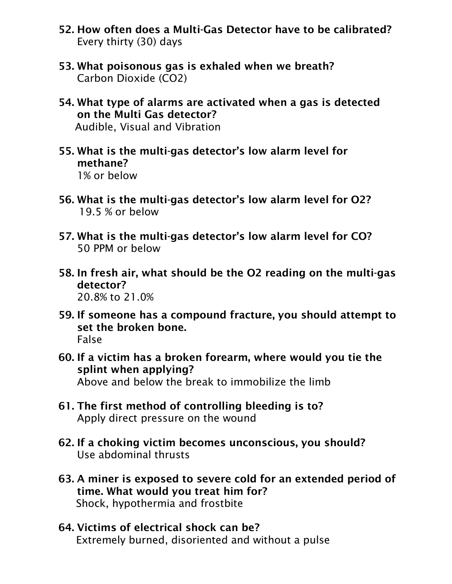- 52. How often does a Multi-Gas Detector have to be calibrated? Every thirty (30) days
- 53. What poisonous gas is exhaled when we breath? Carbon Dioxide (CO2)
- 54. What type of alarms are activated when a gas is detected on the Multi Gas detector? Audible, Visual and Vibration
- 55. What is the multi-gas detector's low alarm level for methane? 1% or below
- 56. What is the multi-gas detector's low alarm level for O2? 19.5 % or below
- 57. What is the multi-gas detector's low alarm level for CO? 50 PPM or below
- 58. In fresh air, what should be the O2 reading on the multi-gas detector? 20.8% to 21.0%
- 59. If someone has a compound fracture, you should attempt to set the broken bone. False
- 60. If a victim has a broken forearm, where would you tie the splint when applying? Above and below the break to immobilize the limb
- 61. The first method of controlling bleeding is to? Apply direct pressure on the wound
- 62. If a choking victim becomes unconscious, you should? Use abdominal thrusts
- 63. A miner is exposed to severe cold for an extended period of time. What would you treat him for? Shock, hypothermia and frostbite
- 64. Victims of electrical shock can be? Extremely burned, disoriented and without a pulse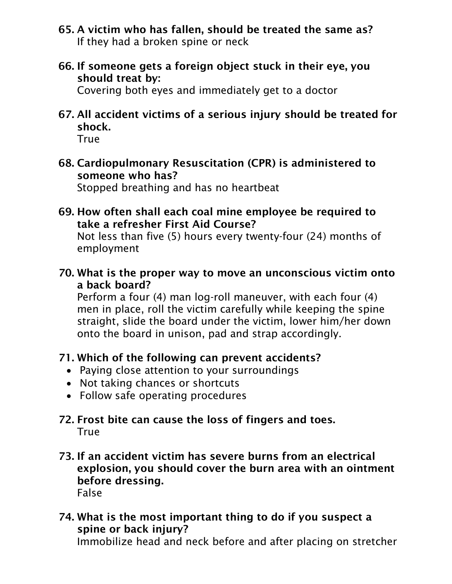- 65. A victim who has fallen, should be treated the same as? If they had a broken spine or neck
- 66. If someone gets a foreign object stuck in their eye, you should treat by:

Covering both eyes and immediately get to a doctor

67. All accident victims of a serious injury should be treated for shock.

**True** 

68. Cardiopulmonary Resuscitation (CPR) is administered to someone who has?

Stopped breathing and has no heartbeat

69. How often shall each coal mine employee be required to take a refresher First Aid Course?

Not less than five (5) hours every twenty-four (24) months of employment

70. What is the proper way to move an unconscious victim onto a back board?

Perform a four (4) man log-roll maneuver, with each four (4) men in place, roll the victim carefully while keeping the spine straight, slide the board under the victim, lower him/her down onto the board in unison, pad and strap accordingly.

### 71. Which of the following can prevent accidents?

- Paying close attention to your surroundings
- Not taking chances or shortcuts
- Follow safe operating procedures

#### 72. Frost bite can cause the loss of fingers and toes. True

73. If an accident victim has severe burns from an electrical explosion, you should cover the burn area with an ointment before dressing. False

#### 74. What is the most important thing to do if you suspect a spine or back injury?

Immobilize head and neck before and after placing on stretcher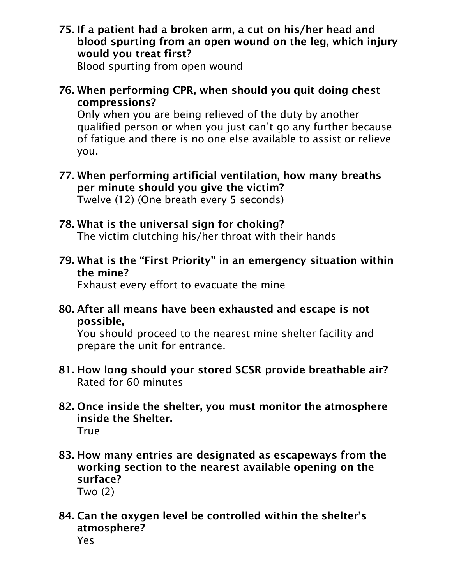75. If a patient had a broken arm, a cut on his/her head and blood spurting from an open wound on the leg, which injury would you treat first?

Blood spurting from open wound

76. When performing CPR, when should you quit doing chest compressions?

Only when you are being relieved of the duty by another qualified person or when you just can't go any further because of fatigue and there is no one else available to assist or relieve you.

- 77. When performing artificial ventilation, how many breaths per minute should you give the victim? Twelve (12) (One breath every 5 seconds)
- 78. What is the universal sign for choking? The victim clutching his/her throat with their hands
- 79. What is the "First Priority" in an emergency situation within the mine?

Exhaust every effort to evacuate the mine

80. After all means have been exhausted and escape is not possible,

You should proceed to the nearest mine shelter facility and prepare the unit for entrance.

- 81. How long should your stored SCSR provide breathable air? Rated for 60 minutes
- 82. Once inside the shelter, you must monitor the atmosphere inside the Shelter. **True**
- 83. How many entries are designated as escapeways from the working section to the nearest available opening on the surface? Two (2)
- 84. Can the oxygen level be controlled within the shelter's atmosphere? Yes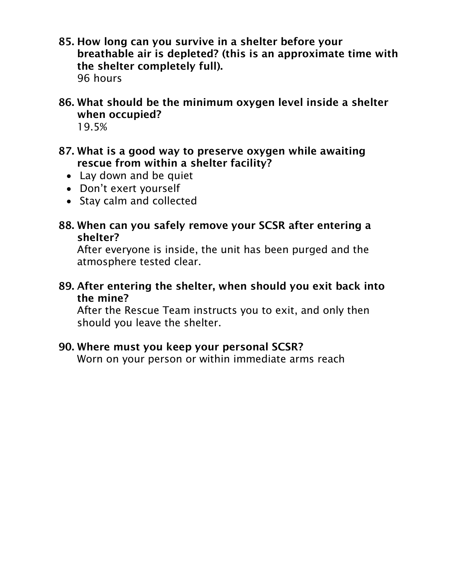85. How long can you survive in a shelter before your breathable air is depleted? (this is an approximate time with the shelter completely full). 96 hours

86. What should be the minimum oxygen level inside a shelter when occupied?

19.5%

- 87. What is a good way to preserve oxygen while awaiting rescue from within a shelter facility?
	- Lay down and be quiet
	- Don't exert yourself
	- Stay calm and collected
- 88. When can you safely remove your SCSR after entering a shelter?

After everyone is inside, the unit has been purged and the atmosphere tested clear.

89. After entering the shelter, when should you exit back into the mine?

After the Rescue Team instructs you to exit, and only then should you leave the shelter.

#### 90. Where must you keep your personal SCSR?

Worn on your person or within immediate arms reach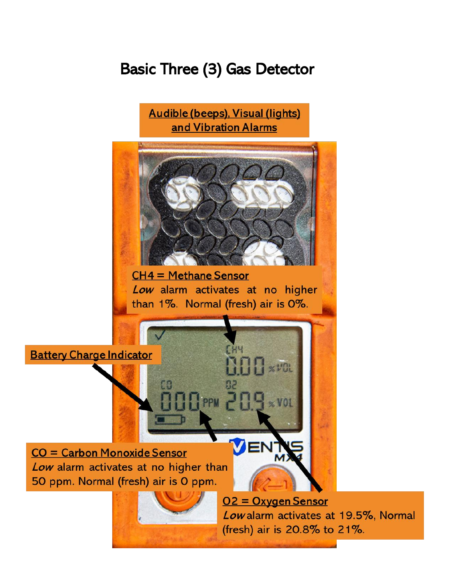# Basic Three (3) Gas Detector

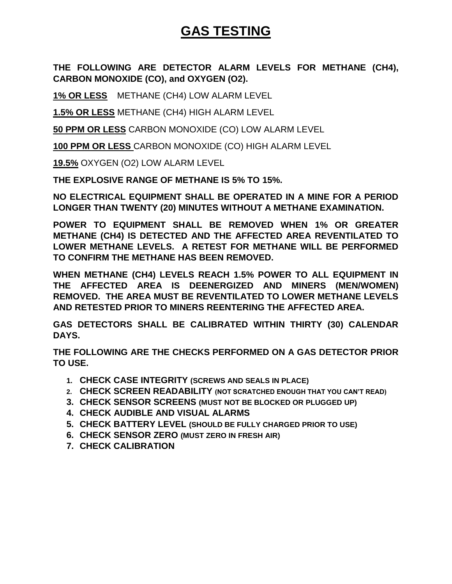## **GAS TESTING**

**THE FOLLOWING ARE DETECTOR ALARM LEVELS FOR METHANE (CH4), CARBON MONOXIDE (CO), and OXYGEN (O2).**

**1% OR LESS** METHANE (CH4) LOW ALARM LEVEL

**1.5% OR LESS** METHANE (CH4) HIGH ALARM LEVEL

**50 PPM OR LESS** CARBON MONOXIDE (CO) LOW ALARM LEVEL

**100 PPM OR LESS** CARBON MONOXIDE (CO) HIGH ALARM LEVEL

**19.5%** OXYGEN (O2) LOW ALARM LEVEL

**THE EXPLOSIVE RANGE OF METHANE IS 5% TO 15%.**

**NO ELECTRICAL EQUIPMENT SHALL BE OPERATED IN A MINE FOR A PERIOD LONGER THAN TWENTY (20) MINUTES WITHOUT A METHANE EXAMINATION.**

**POWER TO EQUIPMENT SHALL BE REMOVED WHEN 1% OR GREATER METHANE (CH4) IS DETECTED AND THE AFFECTED AREA REVENTILATED TO LOWER METHANE LEVELS. A RETEST FOR METHANE WILL BE PERFORMED TO CONFIRM THE METHANE HAS BEEN REMOVED.**

**WHEN METHANE (CH4) LEVELS REACH 1.5% POWER TO ALL EQUIPMENT IN THE AFFECTED AREA IS DEENERGIZED AND MINERS (MEN/WOMEN) REMOVED. THE AREA MUST BE REVENTILATED TO LOWER METHANE LEVELS AND RETESTED PRIOR TO MINERS REENTERING THE AFFECTED AREA.**

**GAS DETECTORS SHALL BE CALIBRATED WITHIN THIRTY (30) CALENDAR DAYS.**

**THE FOLLOWING ARE THE CHECKS PERFORMED ON A GAS DETECTOR PRIOR TO USE.**

- **1. CHECK CASE INTEGRITY (SCREWS AND SEALS IN PLACE)**
- **2. CHECK SCREEN READABILITY (NOT SCRATCHED ENOUGH THAT YOU CAN'T READ)**
- **3. CHECK SENSOR SCREENS (MUST NOT BE BLOCKED OR PLUGGED UP)**
- **4. CHECK AUDIBLE AND VISUAL ALARMS**
- **5. CHECK BATTERY LEVEL (SHOULD BE FULLY CHARGED PRIOR TO USE)**
- **6. CHECK SENSOR ZERO (MUST ZERO IN FRESH AIR)**
- **7. CHECK CALIBRATION**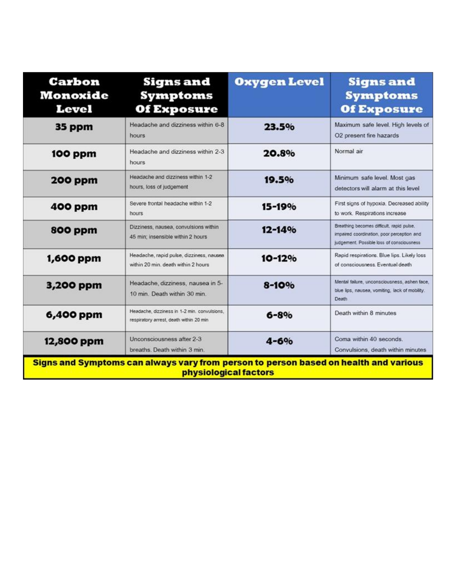| Carbon<br><b>Monoxide</b><br>Level | <b>Signs and</b><br>Symptoms<br><b>Of Exposure</b>                                      | <b>Oxygen Level</b> | <b>Signs and</b><br><b>Symptoms</b><br><b>Of Exposure</b>                                                                            |
|------------------------------------|-----------------------------------------------------------------------------------------|---------------------|--------------------------------------------------------------------------------------------------------------------------------------|
| 35 ppm                             | Headache and dizziness within 6-8<br>hours                                              | 23.5%               | Maximum safe level. High levels of<br>O2 present fire hazards                                                                        |
| 100 ppm                            | Headache and dizziness within 2-3<br>hours                                              | 20.8%               | Normal air                                                                                                                           |
| <b>200 ppm</b>                     | Headache and dizziness within 1-2<br>hours, loss of judgement                           | 19.5%               | Minimum safe level. Most gas<br>detectors will alarm at this level                                                                   |
| 400 ppm                            | Severe frontal headache within 1-2<br>hours.                                            | 15-19%              | First signs of hypoxia. Decreased ability<br>to work. Respirations increase                                                          |
| 800 ppm                            | Dizziness, nausea, convulsions within<br>45 min; insensible within 2 hours              | $12 - 14%$          | Breathing becomes difficult, rapid pulse,<br>impaired coordination, poor perception and<br>judgement. Possible loss of consciousness |
| 1,600 ppm                          | Headache, rapid pulse, dizziness, nausea<br>within 20 min. death within 2 hours.        | 10-12%              | Rapid respirations. Blue lips. Likely loss<br>of consciousness Eventual death                                                        |
| 3,200 ppm                          | Headache, dizziness, nausea in 5-<br>10 min. Death within 30 min.                       | 8-10%               | Mental failure, unconsciousness, ashen face,<br>blue lips, nausea, vomiting, lack of mobility.<br>Death                              |
| 6,400 ppm                          | Headache, dizziness in 1-2 min. convulsions,<br>respiratory arrest, death within 20 min | $6 - 8%$            | Death within 8 minutes                                                                                                               |
| 12,800 ppm                         | Unconsciousness after 2-3<br>breaths. Death within 3 min.                               | $4 - 6%$            | Coma within 40 seconds.<br>Convulsions, death within minutes                                                                         |
|                                    | Signs and Symptoms can always vary from person to person based on health and various    |                     |                                                                                                                                      |

physiological factors